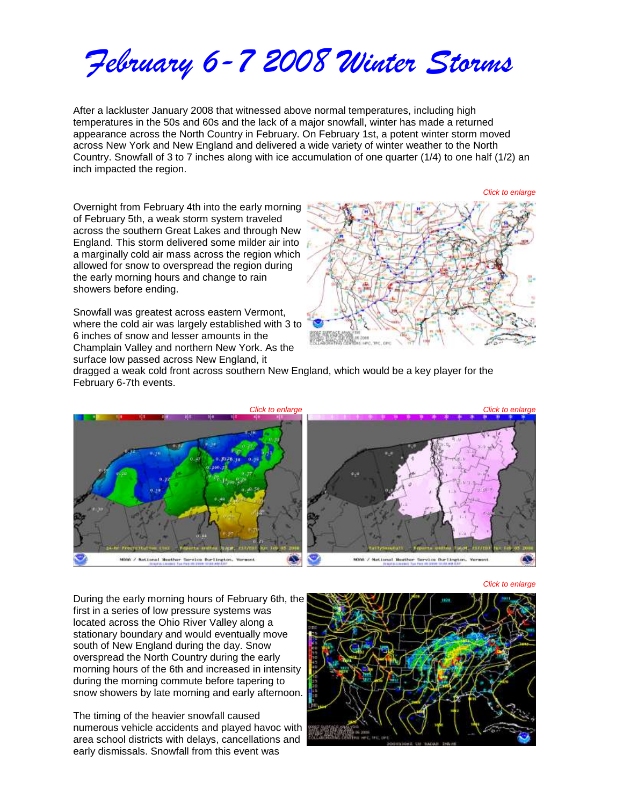*February 6-7 2008 Winter Storms*

After a lackluster January 2008 that witnessed above normal temperatures, including high temperatures in the 50s and 60s and the lack of a major snowfall, winter has made a returned appearance across the North Country in February. On February 1st, a potent winter storm moved across New York and New England and delivered a wide variety of winter weather to the North Country. Snowfall of 3 to 7 inches along with ice accumulation of one quarter (1/4) to one half (1/2) an inch impacted the region.

Overnight from February 4th into the early morning of February 5th, a weak storm system traveled across the southern Great Lakes and through New England. This storm delivered some milder air into a marginally cold air mass across the region which allowed for snow to overspread the region during the early morning hours and change to rain showers before ending.

Snowfall was greatest across eastern Vermont, where the cold air was largely established with 3 to 6 inches of snow and lesser amounts in the Champlain Valley and northern New York. As the surface low passed across New England, it



dragged a weak cold front across southern New England, which would be a key player for the February 6-7th events.



*Click to enlarge*

During the early morning hours of February 6th, the first in a series of low pressure systems was located across the Ohio River Valley along a stationary boundary and would eventually move south of New England during the day. Snow overspread the North Country during the early morning hours of the 6th and increased in intensity during the morning commute before tapering to snow showers by late morning and early afternoon.

The timing of the heavier snowfall caused numerous vehicle accidents and played havoc with area school districts with delays, cancellations and early dismissals. Snowfall from this event was